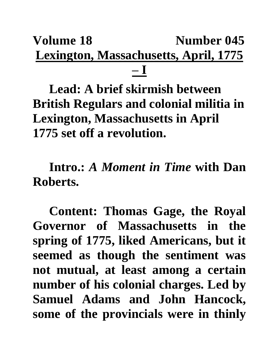## **Volume 18** Number 045 **Lexington, Massachusetts, April, 1775 – I**

**Lead: A brief skirmish between British Regulars and colonial militia in Lexington, Massachusetts in April 1775 set off a revolution.**

**Intro.:** *A Moment in Time* **with Dan Roberts.**

**Content: Thomas Gage, the Royal Governor of Massachusetts in the spring of 1775, liked Americans, but it seemed as though the sentiment was not mutual, at least among a certain number of his colonial charges. Led by Samuel Adams and John Hancock, some of the provincials were in thinly**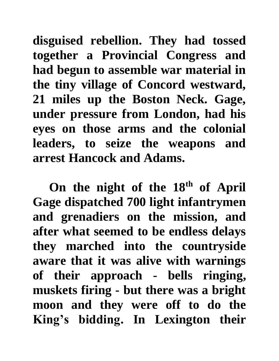**disguised rebellion. They had tossed together a Provincial Congress and had begun to assemble war material in the tiny village of Concord westward, 21 miles up the Boston Neck. Gage, under pressure from London, had his eyes on those arms and the colonial leaders, to seize the weapons and arrest Hancock and Adams.** 

**On the night of the 18th of April Gage dispatched 700 light infantrymen and grenadiers on the mission, and after what seemed to be endless delays they marched into the countryside aware that it was alive with warnings of their approach - bells ringing, muskets firing - but there was a bright moon and they were off to do the King's bidding. In Lexington their**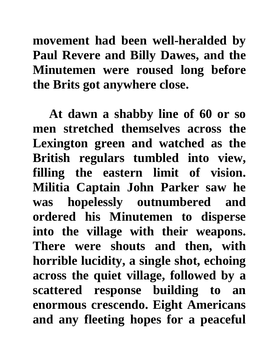**movement had been well-heralded by Paul Revere and Billy Dawes, and the Minutemen were roused long before the Brits got anywhere close.**

**At dawn a shabby line of 60 or so men stretched themselves across the Lexington green and watched as the British regulars tumbled into view, filling the eastern limit of vision. Militia Captain John Parker saw he was hopelessly outnumbered and ordered his Minutemen to disperse into the village with their weapons. There were shouts and then, with horrible lucidity, a single shot, echoing across the quiet village, followed by a scattered response building to an enormous crescendo. Eight Americans and any fleeting hopes for a peaceful**